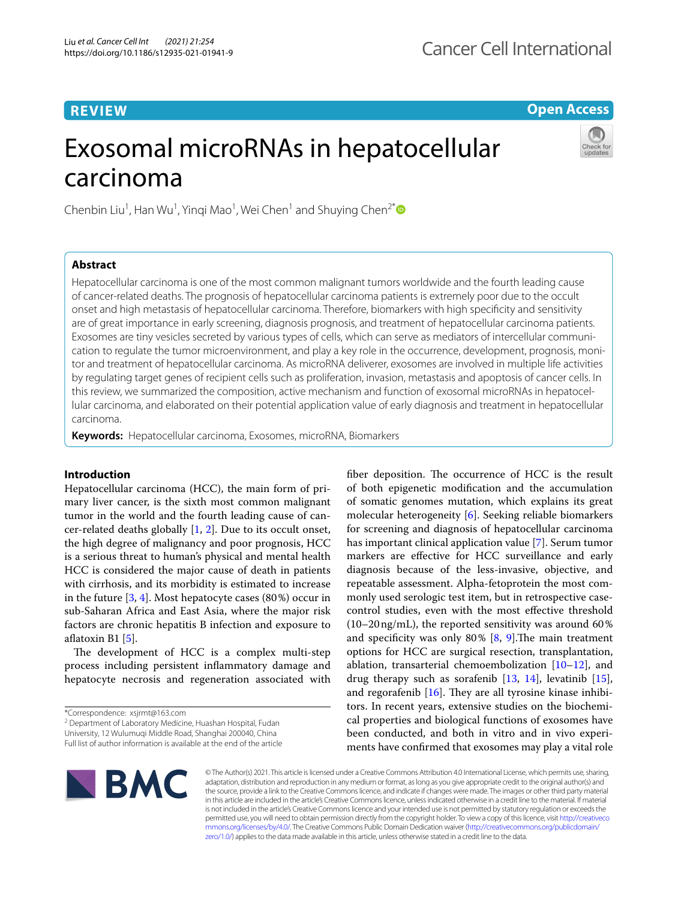**Open Access**

# Exosomal microRNAs in hepatocellular carcinoma



Chenbin Liu<sup>1</sup>, Han Wu<sup>1</sup>, Yinqi Mao<sup>1</sup>, Wei Chen<sup>1</sup> and Shuying Chen<sup>2[\\*](http://orcid.org/0000-0002-9215-9777)</sup>

# **Abstract**

Hepatocellular carcinoma is one of the most common malignant tumors worldwide and the fourth leading cause of cancer-related deaths. The prognosis of hepatocellular carcinoma patients is extremely poor due to the occult onset and high metastasis of hepatocellular carcinoma. Therefore, biomarkers with high specifcity and sensitivity are of great importance in early screening, diagnosis prognosis, and treatment of hepatocellular carcinoma patients. Exosomes are tiny vesicles secreted by various types of cells, which can serve as mediators of intercellular communication to regulate the tumor microenvironment, and play a key role in the occurrence, development, prognosis, monitor and treatment of hepatocellular carcinoma. As microRNA deliverer, exosomes are involved in multiple life activities by regulating target genes of recipient cells such as proliferation, invasion, metastasis and apoptosis of cancer cells. In this review, we summarized the composition, active mechanism and function of exosomal microRNAs in hepatocellular carcinoma, and elaborated on their potential application value of early diagnosis and treatment in hepatocellular carcinoma.

**Keywords:** Hepatocellular carcinoma, Exosomes, microRNA, Biomarkers

# **Introduction**

Hepatocellular carcinoma (HCC), the main form of primary liver cancer, is the sixth most common malignant tumor in the world and the fourth leading cause of cancer-related deaths globally  $[1, 2]$  $[1, 2]$  $[1, 2]$  $[1, 2]$ . Due to its occult onset, the high degree of malignancy and poor prognosis, HCC is a serious threat to human's physical and mental health HCC is considered the major cause of death in patients with cirrhosis, and its morbidity is estimated to increase in the future [\[3](#page-8-2), [4\]](#page-8-3). Most hepatocyte cases (80%) occur in sub-Saharan Africa and East Asia, where the major risk factors are chronic hepatitis B infection and exposure to afatoxin B1 [[5\]](#page-8-4).

The development of HCC is a complex multi-step process including persistent infammatory damage and hepatocyte necrosis and regeneration associated with

<sup>2</sup> Department of Laboratory Medicine, Huashan Hospital, Fudan University, 12 Wulumuqi Middle Road, Shanghai 200040, China

fiber deposition. The occurrence of HCC is the result of both epigenetic modifcation and the accumulation of somatic genomes mutation, which explains its great molecular heterogeneity [\[6](#page-8-5)]. Seeking reliable biomarkers for screening and diagnosis of hepatocellular carcinoma has important clinical application value [[7\]](#page-8-6). Serum tumor markers are efective for HCC surveillance and early diagnosis because of the less-invasive, objective, and repeatable assessment. Alpha-fetoprotein the most commonly used serologic test item, but in retrospective casecontrol studies, even with the most efective threshold  $(10-20 \text{ ng/mL})$ , the reported sensitivity was around 60% and specificity was only  $80\%$  [[8,](#page-8-7) [9\]](#page-8-8). The main treatment options for HCC are surgical resection, transplantation, ablation, transarterial chemoembolization [[10–](#page-8-9)[12\]](#page-8-10), and drug therapy such as sorafenib [[13](#page-8-11), [14\]](#page-8-12), levatinib [\[15](#page-8-13)], and regorafenib  $[16]$ . They are all tyrosine kinase inhibitors. In recent years, extensive studies on the biochemical properties and biological functions of exosomes have been conducted, and both in vitro and in vivo experiments have confrmed that exosomes may play a vital role



© The Author(s) 2021. This article is licensed under a Creative Commons Attribution 4.0 International License, which permits use, sharing, adaptation, distribution and reproduction in any medium or format, as long as you give appropriate credit to the original author(s) and the source, provide a link to the Creative Commons licence, and indicate if changes were made. The images or other third party material in this article are included in the article's Creative Commons licence, unless indicated otherwise in a credit line to the material. If material is not included in the article's Creative Commons licence and your intended use is not permitted by statutory regulation or exceeds the permitted use, you will need to obtain permission directly from the copyright holder. To view a copy of this licence, visit [http://creativeco](http://creativecommons.org/licenses/by/4.0/) [mmons.org/licenses/by/4.0/.](http://creativecommons.org/licenses/by/4.0/) The Creative Commons Public Domain Dedication waiver ([http://creativecommons.org/publicdomain/](http://creativecommons.org/publicdomain/zero/1.0/) [zero/1.0/\)](http://creativecommons.org/publicdomain/zero/1.0/) applies to the data made available in this article, unless otherwise stated in a credit line to the data.

<sup>\*</sup>Correspondence: xsjrmt@163.com

Full list of author information is available at the end of the article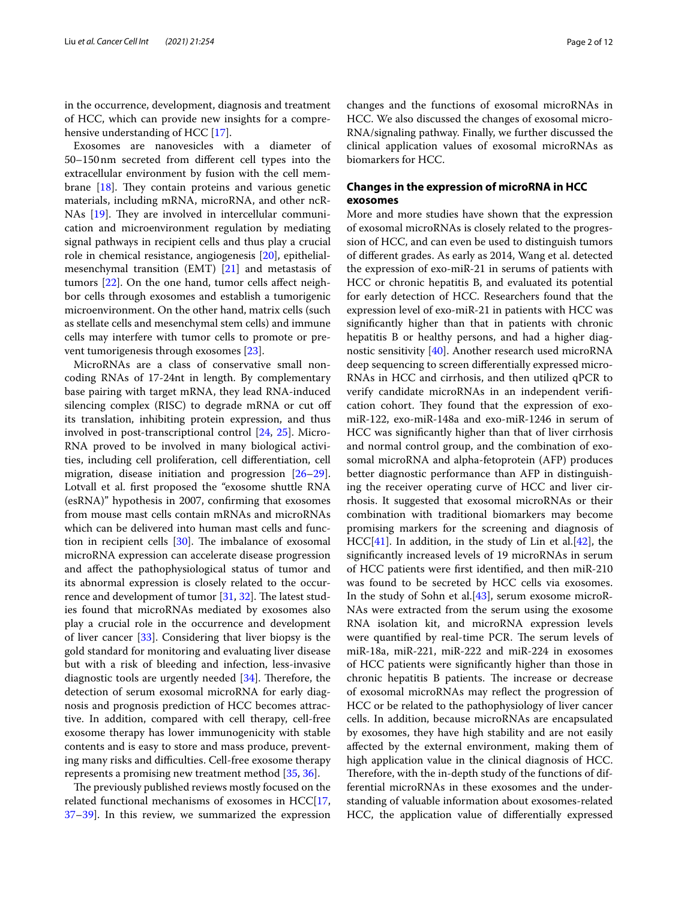in the occurrence, development, diagnosis and treatment of HCC, which can provide new insights for a comprehensive understanding of HCC [\[17](#page-8-15)].

Exosomes are nanovesicles with a diameter of 50–150nm secreted from diferent cell types into the extracellular environment by fusion with the cell membrane  $[18]$  $[18]$ . They contain proteins and various genetic materials, including mRNA, microRNA, and other ncR-NAs  $[19]$  $[19]$ . They are involved in intercellular communication and microenvironment regulation by mediating signal pathways in recipient cells and thus play a crucial role in chemical resistance, angiogenesis [[20\]](#page-8-18), epithelialmesenchymal transition (EMT) [[21\]](#page-8-19) and metastasis of tumors [[22](#page-8-20)]. On the one hand, tumor cells affect neighbor cells through exosomes and establish a tumorigenic microenvironment. On the other hand, matrix cells (such as stellate cells and mesenchymal stem cells) and immune cells may interfere with tumor cells to promote or prevent tumorigenesis through exosomes [\[23](#page-8-21)].

MicroRNAs are a class of conservative small noncoding RNAs of 17-24nt in length. By complementary base pairing with target mRNA, they lead RNA-induced silencing complex (RISC) to degrade mRNA or cut of its translation, inhibiting protein expression, and thus involved in post-transcriptional control [[24](#page-8-22), [25\]](#page-8-23). Micro-RNA proved to be involved in many biological activities, including cell proliferation, cell diferentiation, cell migration, disease initiation and progression [[26](#page-8-24)[–29](#page-9-0)]. Lotvall et al. first proposed the "exosome shuttle RNA (esRNA)" hypothesis in 2007, confrming that exosomes from mouse mast cells contain mRNAs and microRNAs which can be delivered into human mast cells and function in recipient cells  $[30]$  $[30]$ . The imbalance of exosomal microRNA expression can accelerate disease progression and afect the pathophysiological status of tumor and its abnormal expression is closely related to the occurrence and development of tumor  $[31, 32]$  $[31, 32]$  $[31, 32]$ . The latest studies found that microRNAs mediated by exosomes also play a crucial role in the occurrence and development of liver cancer [[33](#page-9-4)]. Considering that liver biopsy is the gold standard for monitoring and evaluating liver disease but with a risk of bleeding and infection, less-invasive diagnostic tools are urgently needed  $[34]$  $[34]$ . Therefore, the detection of serum exosomal microRNA for early diagnosis and prognosis prediction of HCC becomes attractive. In addition, compared with cell therapy, cell-free exosome therapy has lower immunogenicity with stable contents and is easy to store and mass produce, preventing many risks and difficulties. Cell-free exosome therapy represents a promising new treatment method [[35](#page-9-6), [36\]](#page-9-7).

The previously published reviews mostly focused on the related functional mechanisms of exosomes in HCC[\[17](#page-8-15), [37–](#page-9-8)[39](#page-9-9)]. In this review, we summarized the expression

changes and the functions of exosomal microRNAs in HCC. We also discussed the changes of exosomal micro-RNA/signaling pathway. Finally, we further discussed the clinical application values of exosomal microRNAs as biomarkers for HCC.

# **Changes in the expression of microRNA in HCC exosomes**

More and more studies have shown that the expression of exosomal microRNAs is closely related to the progression of HCC, and can even be used to distinguish tumors of diferent grades. As early as 2014, Wang et al. detected the expression of exo-miR-21 in serums of patients with HCC or chronic hepatitis B, and evaluated its potential for early detection of HCC. Researchers found that the expression level of exo-miR-21 in patients with HCC was signifcantly higher than that in patients with chronic hepatitis B or healthy persons, and had a higher diagnostic sensitivity [\[40](#page-9-10)]. Another research used microRNA deep sequencing to screen diferentially expressed micro-RNAs in HCC and cirrhosis, and then utilized qPCR to verify candidate microRNAs in an independent verifcation cohort. They found that the expression of exomiR-122, exo-miR-148a and exo-miR-1246 in serum of HCC was signifcantly higher than that of liver cirrhosis and normal control group, and the combination of exosomal microRNA and alpha-fetoprotein (AFP) produces better diagnostic performance than AFP in distinguishing the receiver operating curve of HCC and liver cirrhosis. It suggested that exosomal microRNAs or their combination with traditional biomarkers may become promising markers for the screening and diagnosis of  $HCC[41]$  $HCC[41]$ . In addition, in the study of Lin et al. $[42]$  $[42]$ , the signifcantly increased levels of 19 microRNAs in serum of HCC patients were frst identifed, and then miR-210 was found to be secreted by HCC cells via exosomes. In the study of Sohn et al.[\[43\]](#page-9-13), serum exosome microR-NAs were extracted from the serum using the exosome RNA isolation kit, and microRNA expression levels were quantified by real-time PCR. The serum levels of miR-18a, miR-221, miR-222 and miR-224 in exosomes of HCC patients were signifcantly higher than those in chronic hepatitis B patients. The increase or decrease of exosomal microRNAs may refect the progression of HCC or be related to the pathophysiology of liver cancer cells. In addition, because microRNAs are encapsulated by exosomes, they have high stability and are not easily afected by the external environment, making them of high application value in the clinical diagnosis of HCC. Therefore, with the in-depth study of the functions of differential microRNAs in these exosomes and the understanding of valuable information about exosomes-related HCC, the application value of diferentially expressed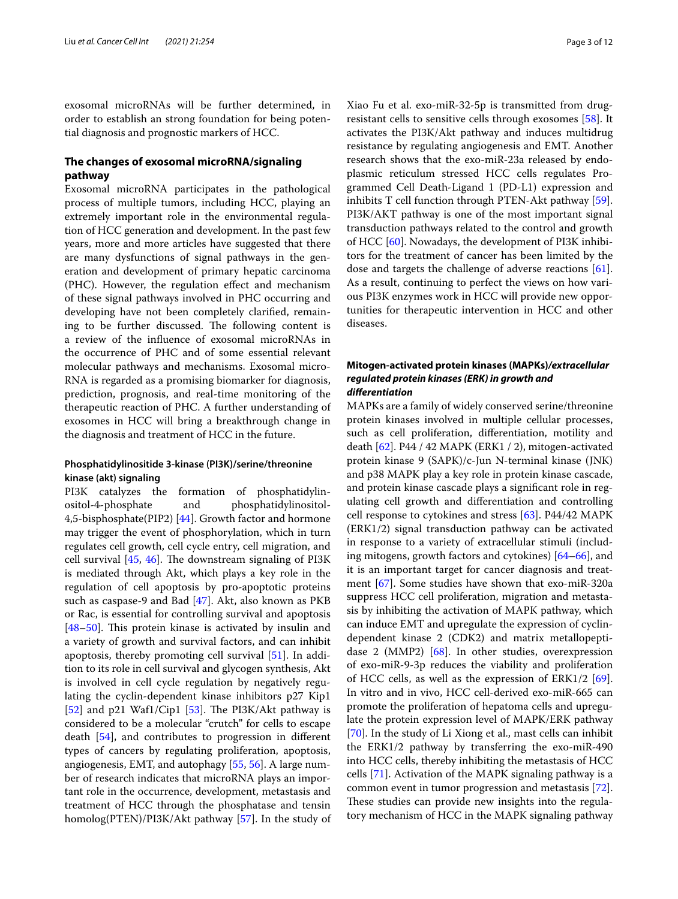exosomal microRNAs will be further determined, in order to establish an strong foundation for being potential diagnosis and prognostic markers of HCC.

# **The changes of exosomal microRNA/signaling pathway**

Exosomal microRNA participates in the pathological process of multiple tumors, including HCC, playing an extremely important role in the environmental regulation of HCC generation and development. In the past few years, more and more articles have suggested that there are many dysfunctions of signal pathways in the generation and development of primary hepatic carcinoma (PHC). However, the regulation efect and mechanism of these signal pathways involved in PHC occurring and developing have not been completely clarifed, remaining to be further discussed. The following content is a review of the infuence of exosomal microRNAs in the occurrence of PHC and of some essential relevant molecular pathways and mechanisms. Exosomal micro-RNA is regarded as a promising biomarker for diagnosis, prediction, prognosis, and real-time monitoring of the therapeutic reaction of PHC. A further understanding of exosomes in HCC will bring a breakthrough change in the diagnosis and treatment of HCC in the future.

# **Phosphatidylinositide 3‑kinase (PI3K)/serine/threonine kinase (akt) signaling**

PI3K catalyzes the formation of phosphatidylinositol-4-phosphate and phosphatidylinositol-4,5-bisphosphate(PIP2) [[44](#page-9-14)]. Growth factor and hormone may trigger the event of phosphorylation, which in turn regulates cell growth, cell cycle entry, cell migration, and cell survival  $[45, 46]$  $[45, 46]$  $[45, 46]$ . The downstream signaling of PI3K is mediated through Akt, which plays a key role in the regulation of cell apoptosis by pro-apoptotic proteins such as caspase-9 and Bad [\[47](#page-9-17)]. Akt, also known as PKB or Rac, is essential for controlling survival and apoptosis  $[48-50]$  $[48-50]$  $[48-50]$ . This protein kinase is activated by insulin and a variety of growth and survival factors, and can inhibit apoptosis, thereby promoting cell survival [\[51](#page-9-20)]. In addition to its role in cell survival and glycogen synthesis, Akt is involved in cell cycle regulation by negatively regulating the cyclin-dependent kinase inhibitors p27 Kip1 [[52\]](#page-9-21) and p21 Waf1/Cip1 [[53\]](#page-9-22). The PI3K/Akt pathway is considered to be a molecular "crutch" for cells to escape death [\[54](#page-9-23)], and contributes to progression in diferent types of cancers by regulating proliferation, apoptosis, angiogenesis, EMT, and autophagy [\[55](#page-9-24), [56\]](#page-9-25). A large number of research indicates that microRNA plays an important role in the occurrence, development, metastasis and treatment of HCC through the phosphatase and tensin homolog(PTEN)/PI3K/Akt pathway [\[57\]](#page-9-26). In the study of Xiao Fu et al. exo-miR-32-5p is transmitted from drugresistant cells to sensitive cells through exosomes [\[58\]](#page-9-27). It activates the PI3K/Akt pathway and induces multidrug resistance by regulating angiogenesis and EMT. Another research shows that the exo-miR-23a released by endoplasmic reticulum stressed HCC cells regulates Programmed Cell Death-Ligand 1 (PD-L1) expression and inhibits T cell function through PTEN-Akt pathway [\[59](#page-9-28)]. PI3K/AKT pathway is one of the most important signal transduction pathways related to the control and growth of HCC [\[60\]](#page-9-29). Nowadays, the development of PI3K inhibitors for the treatment of cancer has been limited by the dose and targets the challenge of adverse reactions [\[61](#page-9-30)]. As a result, continuing to perfect the views on how various PI3K enzymes work in HCC will provide new opportunities for therapeutic intervention in HCC and other diseases.

# **Mitogen‑activated protein kinases (MAPKs)***/extracellular regulated protein kinases (ERK) in growth and diferentiation*

MAPKs are a family of widely conserved serine/threonine protein kinases involved in multiple cellular processes, such as cell proliferation, diferentiation, motility and death [[62\]](#page-9-31). P44 / 42 MAPK (ERK1 / 2), mitogen-activated protein kinase 9 (SAPK)/c-Jun N-terminal kinase (JNK) and p38 MAPK play a key role in protein kinase cascade, and protein kinase cascade plays a signifcant role in regulating cell growth and diferentiation and controlling cell response to cytokines and stress [\[63](#page-9-32)]. P44/42 MAPK (ERK1/2) signal transduction pathway can be activated in response to a variety of extracellular stimuli (including mitogens, growth factors and cytokines) [[64–](#page-9-33)[66\]](#page-9-34), and it is an important target for cancer diagnosis and treatment [[67](#page-9-35)]. Some studies have shown that exo-miR-320a suppress HCC cell proliferation, migration and metastasis by inhibiting the activation of MAPK pathway, which can induce EMT and upregulate the expression of cyclindependent kinase 2 (CDK2) and matrix metallopeptidase 2 (MMP2) [[68\]](#page-9-36). In other studies, overexpression of exo-miR-9-3p reduces the viability and proliferation of HCC cells, as well as the expression of  $ERK1/2$  [\[69](#page-9-37)]. In vitro and in vivo, HCC cell-derived exo-miR-665 can promote the proliferation of hepatoma cells and upregulate the protein expression level of MAPK/ERK pathway [[70\]](#page-9-38). In the study of Li Xiong et al., mast cells can inhibit the ERK1/2 pathway by transferring the exo-miR-490 into HCC cells, thereby inhibiting the metastasis of HCC cells [\[71](#page-9-39)]. Activation of the MAPK signaling pathway is a common event in tumor progression and metastasis [\[72](#page-9-40)]. These studies can provide new insights into the regulatory mechanism of HCC in the MAPK signaling pathway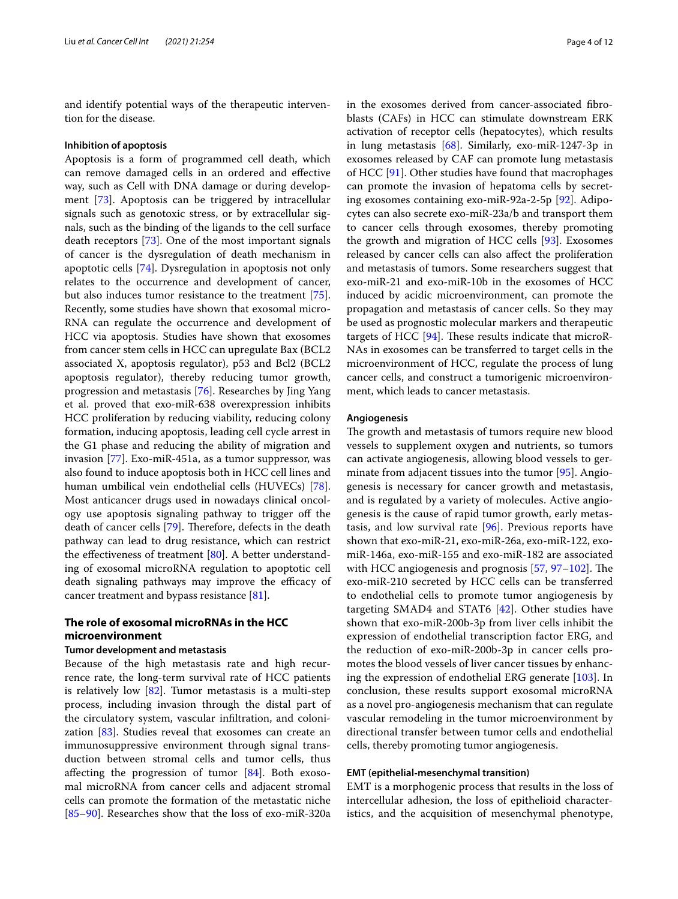and identify potential ways of the therapeutic intervention for the disease.

### **Inhibition of apoptosis**

Apoptosis is a form of programmed cell death, which can remove damaged cells in an ordered and efective way, such as Cell with DNA damage or during development [[73\]](#page-10-0). Apoptosis can be triggered by intracellular signals such as genotoxic stress, or by extracellular signals, such as the binding of the ligands to the cell surface death receptors [\[73](#page-10-0)]. One of the most important signals of cancer is the dysregulation of death mechanism in apoptotic cells [[74\]](#page-10-1). Dysregulation in apoptosis not only relates to the occurrence and development of cancer, but also induces tumor resistance to the treatment [\[75](#page-10-2)]. Recently, some studies have shown that exosomal micro-RNA can regulate the occurrence and development of HCC via apoptosis. Studies have shown that exosomes from cancer stem cells in HCC can upregulate Bax (BCL2 associated X, apoptosis regulator), p53 and Bcl2 (BCL2 apoptosis regulator), thereby reducing tumor growth, progression and metastasis [[76\]](#page-10-3). Researches by Jing Yang et al. proved that exo-miR-638 overexpression inhibits HCC proliferation by reducing viability, reducing colony formation, inducing apoptosis, leading cell cycle arrest in the G1 phase and reducing the ability of migration and invasion [\[77\]](#page-10-4). Exo-miR-451a, as a tumor suppressor, was also found to induce apoptosis both in HCC cell lines and human umbilical vein endothelial cells (HUVECs) [\[78](#page-10-5)]. Most anticancer drugs used in nowadays clinical oncology use apoptosis signaling pathway to trigger off the death of cancer cells [[79](#page-10-6)]. Therefore, defects in the death pathway can lead to drug resistance, which can restrict the effectiveness of treatment  $[80]$  $[80]$ . A better understanding of exosomal microRNA regulation to apoptotic cell death signaling pathways may improve the efficacy of cancer treatment and bypass resistance [[81\]](#page-10-8).

# **The role of exosomal microRNAs in the HCC microenvironment**

# **Tumor development and metastasis**

Because of the high metastasis rate and high recurrence rate, the long-term survival rate of HCC patients is relatively low  $[82]$  $[82]$ . Tumor metastasis is a multi-step process, including invasion through the distal part of the circulatory system, vascular infltration, and colonization [\[83\]](#page-10-10). Studies reveal that exosomes can create an immunosuppressive environment through signal transduction between stromal cells and tumor cells, thus afecting the progression of tumor [[84](#page-10-11)]. Both exosomal microRNA from cancer cells and adjacent stromal cells can promote the formation of the metastatic niche [[85–](#page-10-12)[90](#page-10-13)]. Researches show that the loss of exo-miR-320a

in the exosomes derived from cancer-associated fbroblasts (CAFs) in HCC can stimulate downstream ERK activation of receptor cells (hepatocytes), which results in lung metastasis [\[68](#page-9-36)]. Similarly, exo-miR-1247-3p in exosomes released by CAF can promote lung metastasis of HCC [\[91\]](#page-10-14). Other studies have found that macrophages can promote the invasion of hepatoma cells by secreting exosomes containing exo-miR-92a-2-5p [\[92](#page-10-15)]. Adipocytes can also secrete exo-miR-23a/b and transport them to cancer cells through exosomes, thereby promoting the growth and migration of HCC cells [[93](#page-10-16)]. Exosomes released by cancer cells can also afect the proliferation and metastasis of tumors. Some researchers suggest that exo-miR-21 and exo-miR-10b in the exosomes of HCC induced by acidic microenvironment, can promote the propagation and metastasis of cancer cells. So they may be used as prognostic molecular markers and therapeutic targets of HCC  $[94]$  $[94]$ . These results indicate that microR-NAs in exosomes can be transferred to target cells in the microenvironment of HCC, regulate the process of lung cancer cells, and construct a tumorigenic microenvironment, which leads to cancer metastasis.

### **Angiogenesis**

The growth and metastasis of tumors require new blood vessels to supplement oxygen and nutrients, so tumors can activate angiogenesis, allowing blood vessels to germinate from adjacent tissues into the tumor [[95\]](#page-10-18). Angiogenesis is necessary for cancer growth and metastasis, and is regulated by a variety of molecules. Active angiogenesis is the cause of rapid tumor growth, early metastasis, and low survival rate [[96\]](#page-10-19). Previous reports have shown that exo-miR-21, exo-miR-26a, exo-miR-122, exomiR-146a, exo-miR-155 and exo-miR-182 are associated with HCC angiogenesis and prognosis  $[57, 97-102]$  $[57, 97-102]$  $[57, 97-102]$  $[57, 97-102]$  $[57, 97-102]$ . The exo-miR-210 secreted by HCC cells can be transferred to endothelial cells to promote tumor angiogenesis by targeting SMAD4 and STAT6 [[42\]](#page-9-12). Other studies have shown that exo-miR-200b-3p from liver cells inhibit the expression of endothelial transcription factor ERG, and the reduction of exo-miR-200b-3p in cancer cells promotes the blood vessels of liver cancer tissues by enhancing the expression of endothelial ERG generate [[103](#page-10-22)]. In conclusion, these results support exosomal microRNA as a novel pro-angiogenesis mechanism that can regulate vascular remodeling in the tumor microenvironment by directional transfer between tumor cells and endothelial cells, thereby promoting tumor angiogenesis.

### **EMT (epithelial‐mesenchymal transition)**

EMT is a morphogenic process that results in the loss of intercellular adhesion, the loss of epithelioid characteristics, and the acquisition of mesenchymal phenotype,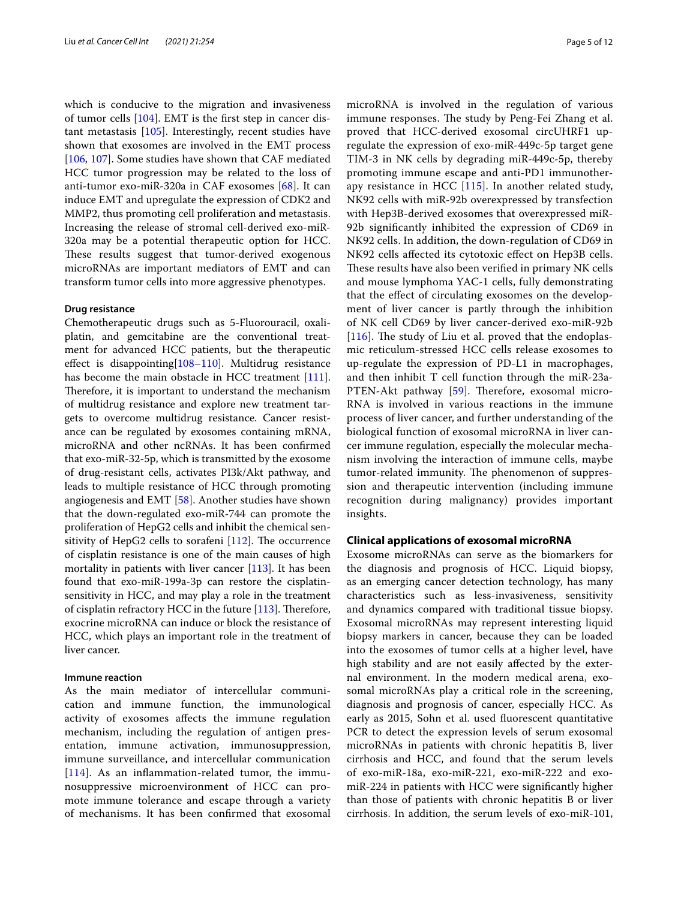which is conducive to the migration and invasiveness of tumor cells [[104\]](#page-10-23). EMT is the frst step in cancer distant metastasis [\[105](#page-10-24)]. Interestingly, recent studies have shown that exosomes are involved in the EMT process [[106,](#page-10-25) [107\]](#page-10-26). Some studies have shown that CAF mediated HCC tumor progression may be related to the loss of anti-tumor exo-miR-320a in CAF exosomes [[68](#page-9-36)]. It can induce EMT and upregulate the expression of CDK2 and MMP2, thus promoting cell proliferation and metastasis. Increasing the release of stromal cell-derived exo-miR-320a may be a potential therapeutic option for HCC. These results suggest that tumor-derived exogenous microRNAs are important mediators of EMT and can transform tumor cells into more aggressive phenotypes.

### **Drug resistance**

Chemotherapeutic drugs such as 5-Fluorouracil, oxaliplatin, and gemcitabine are the conventional treatment for advanced HCC patients, but the therapeutic efect is disappointing[\[108–](#page-10-27)[110](#page-10-28)]. Multidrug resistance has become the main obstacle in HCC treatment [\[111](#page-10-29)]. Therefore, it is important to understand the mechanism of multidrug resistance and explore new treatment targets to overcome multidrug resistance. Cancer resistance can be regulated by exosomes containing mRNA, microRNA and other ncRNAs. It has been confrmed that exo-miR-32-5p, which is transmitted by the exosome of drug-resistant cells, activates PI3k/Akt pathway, and leads to multiple resistance of HCC through promoting angiogenesis and EMT [\[58](#page-9-27)]. Another studies have shown that the down-regulated exo-miR-744 can promote the proliferation of HepG2 cells and inhibit the chemical sensitivity of HepG2 cells to sorafeni  $[112]$  $[112]$ . The occurrence of cisplatin resistance is one of the main causes of high mortality in patients with liver cancer [[113\]](#page-10-31). It has been found that exo-miR-199a-3p can restore the cisplatinsensitivity in HCC, and may play a role in the treatment of cisplatin refractory HCC in the future  $[113]$ . Therefore, exocrine microRNA can induce or block the resistance of HCC, which plays an important role in the treatment of liver cancer.

### **Immune reaction**

As the main mediator of intercellular communication and immune function, the immunological activity of exosomes afects the immune regulation mechanism, including the regulation of antigen presentation, immune activation, immunosuppression, immune surveillance, and intercellular communication [[114](#page-10-32)]. As an inflammation-related tumor, the immunosuppressive microenvironment of HCC can promote immune tolerance and escape through a variety of mechanisms. It has been confrmed that exosomal microRNA is involved in the regulation of various immune responses. The study by Peng-Fei Zhang et al. proved that HCC-derived exosomal circUHRF1 upregulate the expression of exo-miR-449c-5p target gene TIM-3 in NK cells by degrading miR-449c-5p, thereby promoting immune escape and anti-PD1 immunotherapy resistance in HCC [\[115\]](#page-10-33). In another related study, NK92 cells with miR-92b overexpressed by transfection with Hep3B-derived exosomes that overexpressed miR-92b signifcantly inhibited the expression of CD69 in NK92 cells. In addition, the down-regulation of CD69 in NK92 cells afected its cytotoxic efect on Hep3B cells. These results have also been verified in primary NK cells and mouse lymphoma YAC-1 cells, fully demonstrating that the efect of circulating exosomes on the development of liver cancer is partly through the inhibition of NK cell CD69 by liver cancer-derived exo-miR-92b [[116](#page-11-0)]. The study of Liu et al. proved that the endoplasmic reticulum-stressed HCC cells release exosomes to up-regulate the expression of PD-L1 in macrophages, and then inhibit T cell function through the miR-23a-PTEN-Akt pathway [[59\]](#page-9-28). Therefore, exosomal micro-RNA is involved in various reactions in the immune process of liver cancer, and further understanding of the biological function of exosomal microRNA in liver cancer immune regulation, especially the molecular mechanism involving the interaction of immune cells, maybe tumor-related immunity. The phenomenon of suppression and therapeutic intervention (including immune recognition during malignancy) provides important insights.

## **Clinical applications of exosomal microRNA**

Exosome microRNAs can serve as the biomarkers for the diagnosis and prognosis of HCC. Liquid biopsy, as an emerging cancer detection technology, has many characteristics such as less-invasiveness, sensitivity and dynamics compared with traditional tissue biopsy. Exosomal microRNAs may represent interesting liquid biopsy markers in cancer, because they can be loaded into the exosomes of tumor cells at a higher level, have high stability and are not easily afected by the external environment. In the modern medical arena, exosomal microRNAs play a critical role in the screening, diagnosis and prognosis of cancer, especially HCC. As early as 2015, Sohn et al. used fuorescent quantitative PCR to detect the expression levels of serum exosomal microRNAs in patients with chronic hepatitis B, liver cirrhosis and HCC, and found that the serum levels of exo-miR-18a, exo-miR-221, exo-miR-222 and exomiR-224 in patients with HCC were signifcantly higher than those of patients with chronic hepatitis B or liver cirrhosis. In addition, the serum levels of exo-miR-101,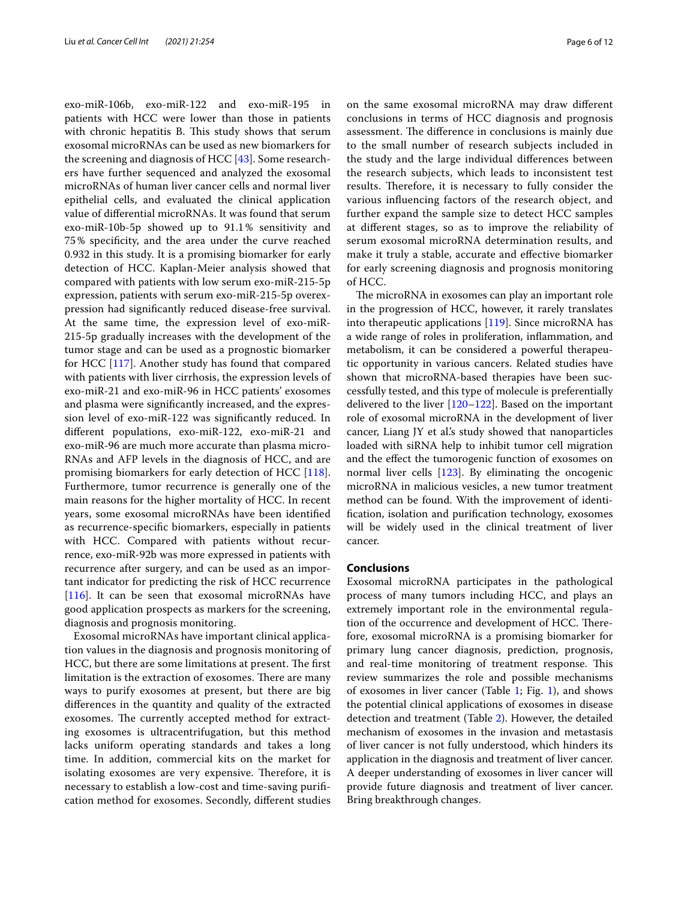exo-miR-106b, exo-miR-122 and exo-miR-195 in patients with HCC were lower than those in patients with chronic hepatitis B. This study shows that serum exosomal microRNAs can be used as new biomarkers for the screening and diagnosis of HCC [\[43](#page-9-13)]. Some researchers have further sequenced and analyzed the exosomal microRNAs of human liver cancer cells and normal liver epithelial cells, and evaluated the clinical application value of diferential microRNAs. It was found that serum exo-miR-10b-5p showed up to 91.1% sensitivity and 75% specifcity, and the area under the curve reached 0.932 in this study. It is a promising biomarker for early detection of HCC. Kaplan-Meier analysis showed that compared with patients with low serum exo-miR-215-5p expression, patients with serum exo-miR-215-5p overexpression had signifcantly reduced disease-free survival. At the same time, the expression level of exo-miR-215-5p gradually increases with the development of the tumor stage and can be used as a prognostic biomarker for HCC [\[117](#page-11-1)]. Another study has found that compared with patients with liver cirrhosis, the expression levels of exo-miR-21 and exo-miR-96 in HCC patients' exosomes and plasma were signifcantly increased, and the expression level of exo-miR-122 was signifcantly reduced. In diferent populations, exo-miR-122, exo-miR-21 and exo-miR-96 are much more accurate than plasma micro-RNAs and AFP levels in the diagnosis of HCC, and are promising biomarkers for early detection of HCC [\[118](#page-11-2)]. Furthermore, tumor recurrence is generally one of the main reasons for the higher mortality of HCC. In recent years, some exosomal microRNAs have been identifed as recurrence-specifc biomarkers, especially in patients with HCC. Compared with patients without recurrence, exo-miR-92b was more expressed in patients with recurrence after surgery, and can be used as an important indicator for predicting the risk of HCC recurrence [[116\]](#page-11-0). It can be seen that exosomal microRNAs have good application prospects as markers for the screening, diagnosis and prognosis monitoring.

Exosomal microRNAs have important clinical application values in the diagnosis and prognosis monitoring of HCC, but there are some limitations at present. The first limitation is the extraction of exosomes. There are many ways to purify exosomes at present, but there are big diferences in the quantity and quality of the extracted exosomes. The currently accepted method for extracting exosomes is ultracentrifugation, but this method lacks uniform operating standards and takes a long time. In addition, commercial kits on the market for isolating exosomes are very expensive. Therefore, it is necessary to establish a low-cost and time-saving purifcation method for exosomes. Secondly, diferent studies on the same exosomal microRNA may draw diferent conclusions in terms of HCC diagnosis and prognosis assessment. The difference in conclusions is mainly due to the small number of research subjects included in the study and the large individual diferences between the research subjects, which leads to inconsistent test results. Therefore, it is necessary to fully consider the various infuencing factors of the research object, and further expand the sample size to detect HCC samples at diferent stages, so as to improve the reliability of serum exosomal microRNA determination results, and make it truly a stable, accurate and efective biomarker for early screening diagnosis and prognosis monitoring of HCC.

The microRNA in exosomes can play an important role in the progression of HCC, however, it rarely translates into therapeutic applications [\[119\]](#page-11-3). Since microRNA has a wide range of roles in proliferation, infammation, and metabolism, it can be considered a powerful therapeutic opportunity in various cancers. Related studies have shown that microRNA-based therapies have been successfully tested, and this type of molecule is preferentially delivered to the liver [\[120](#page-11-4)[–122\]](#page-11-5). Based on the important role of exosomal microRNA in the development of liver cancer, Liang JY et al.'s study showed that nanoparticles loaded with siRNA help to inhibit tumor cell migration and the efect the tumorogenic function of exosomes on normal liver cells [[123](#page-11-6)]. By eliminating the oncogenic microRNA in malicious vesicles, a new tumor treatment method can be found. With the improvement of identifcation, isolation and purifcation technology, exosomes will be widely used in the clinical treatment of liver cancer.

### **Conclusions**

Exosomal microRNA participates in the pathological process of many tumors including HCC, and plays an extremely important role in the environmental regulation of the occurrence and development of HCC. Therefore, exosomal microRNA is a promising biomarker for primary lung cancer diagnosis, prediction, prognosis, and real-time monitoring of treatment response. This review summarizes the role and possible mechanisms of exosomes in liver cancer (Table [1;](#page-6-0) Fig. [1\)](#page-7-0), and shows the potential clinical applications of exosomes in disease detection and treatment (Table [2\)](#page-7-1). However, the detailed mechanism of exosomes in the invasion and metastasis of liver cancer is not fully understood, which hinders its application in the diagnosis and treatment of liver cancer. A deeper understanding of exosomes in liver cancer will provide future diagnosis and treatment of liver cancer. Bring breakthrough changes.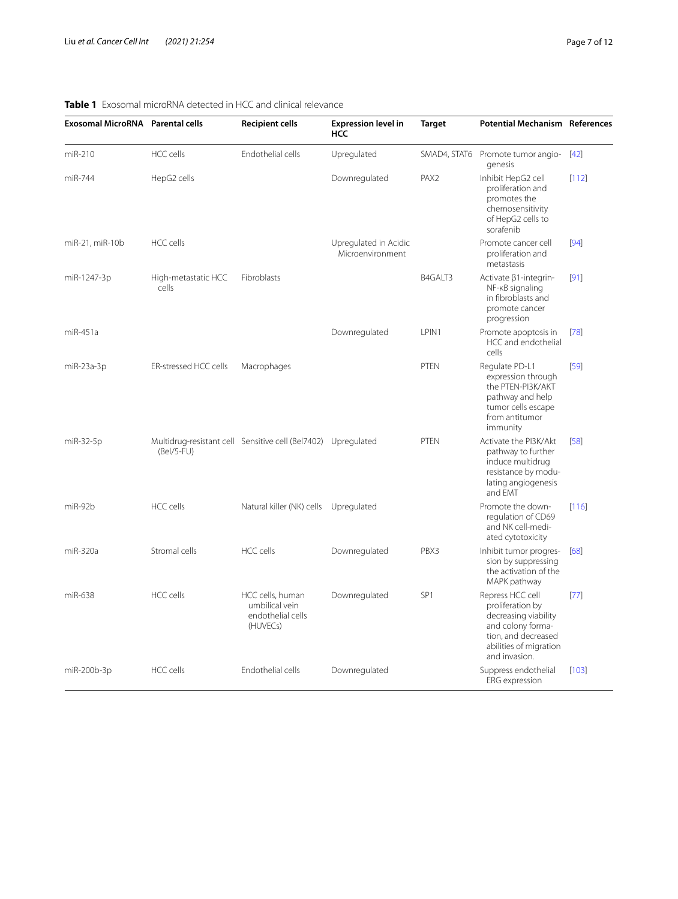# <span id="page-6-0"></span>**Table 1** Exosomal microRNA detected in HCC and clinical relevance

| Exosomal MicroRNA Parental cells |                              | <b>Recipient cells</b>                                              | <b>Expression level in</b><br>HCC         | <b>Target</b>    | <b>Potential Mechanism References</b>                                                                                                               |        |
|----------------------------------|------------------------------|---------------------------------------------------------------------|-------------------------------------------|------------------|-----------------------------------------------------------------------------------------------------------------------------------------------------|--------|
| miR-210                          | <b>HCC</b> cells             | Endothelial cells                                                   | Upregulated                               | SMAD4, STAT6     | Promote tumor angio-<br>genesis                                                                                                                     | $[42]$ |
| miR-744                          | HepG2 cells                  |                                                                     | Downregulated                             | PAX <sub>2</sub> | Inhibit HepG2 cell<br>proliferation and<br>promotes the<br>chemosensitivity<br>of HepG2 cells to<br>sorafenib                                       | [112]  |
| miR-21, miR-10b                  | HCC cells                    |                                                                     | Upregulated in Acidic<br>Microenvironment |                  | Promote cancer cell<br>proliferation and<br>metastasis                                                                                              | [94]   |
| miR-1247-3p                      | High-metastatic HCC<br>cells | Fibroblasts                                                         |                                           | B4GALT3          | Activate β1-integrin-<br>NF-KB signaling<br>in fibroblasts and<br>promote cancer<br>progression                                                     | [91]   |
| miR-451a                         |                              |                                                                     | Downregulated                             | LPIN1            | Promote apoptosis in<br>HCC and endothelial<br>cells                                                                                                | $[78]$ |
| miR-23a-3p                       | ER-stressed HCC cells        | Macrophages                                                         |                                           | <b>PTEN</b>      | Regulate PD-L1<br>expression through<br>the PTEN-PI3K/AKT<br>pathway and help<br>tumor cells escape<br>from antitumor<br>immunity                   | [59]   |
| miR-32-5p                        | (Bel/5-FU)                   | Multidrug-resistant cell Sensitive cell (Bel7402) Upregulated       |                                           | PTEN             | Activate the PI3K/Akt<br>pathway to further<br>induce multidrug<br>resistance by modu-<br>lating angiogenesis<br>and EMT                            | [58]   |
| miR-92b                          | HCC cells                    | Natural killer (NK) cells Upregulated                               |                                           |                  | Promote the down-<br>regulation of CD69<br>and NK cell-medi-<br>ated cytotoxicity                                                                   | [116]  |
| miR-320a                         | Stromal cells                | HCC cells                                                           | Downregulated                             | PBX3             | Inhibit tumor progres-<br>sion by suppressing<br>the activation of the<br>MAPK pathway                                                              | [68]   |
| miR-638                          | <b>HCC</b> cells             | HCC cells, human<br>umbilical vein<br>endothelial cells<br>(HUVECs) | Downregulated                             | SP <sub>1</sub>  | Repress HCC cell<br>proliferation by<br>decreasing viability<br>and colony forma-<br>tion, and decreased<br>abilities of migration<br>and invasion. | $[77]$ |
| miR-200b-3p                      | HCC cells                    | Endothelial cells                                                   | Downregulated                             |                  | Suppress endothelial<br><b>ERG</b> expression                                                                                                       | [103]  |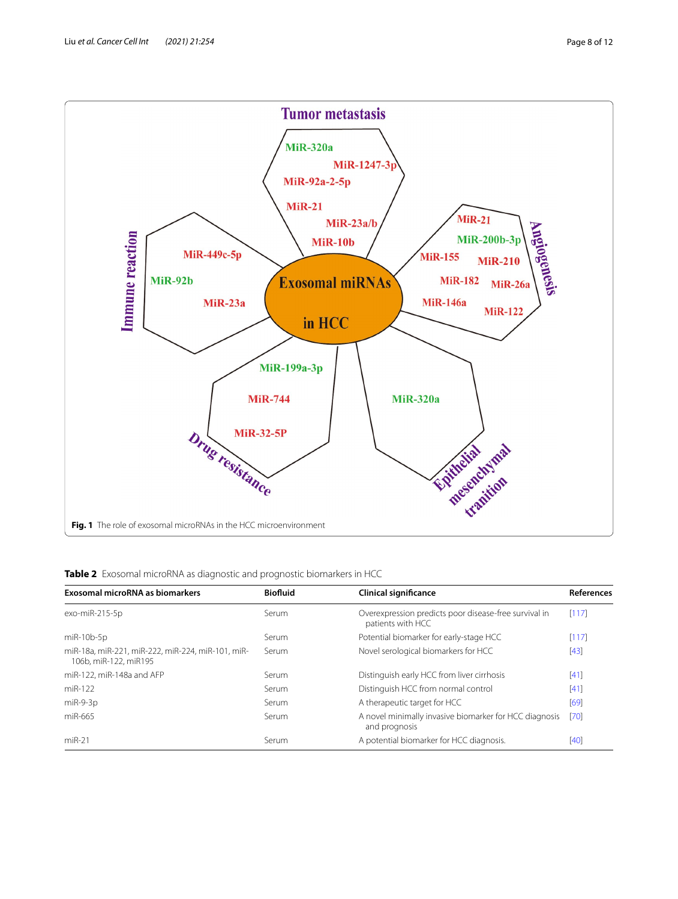

<span id="page-7-1"></span><span id="page-7-0"></span>

| Exosomal microRNA as biomarkers                                            | <b>Biofluid</b> | <b>Clinical significance</b>                                               | <b>References</b> |
|----------------------------------------------------------------------------|-----------------|----------------------------------------------------------------------------|-------------------|
| exo-miR-215-5p                                                             | Serum           | Overexpression predicts poor disease-free survival in<br>patients with HCC | [117]             |
| miR-10b-5p                                                                 | Serum           | Potential biomarker for early-stage HCC                                    | [117]             |
| miR-18a, miR-221, miR-222, miR-224, miR-101, miR-<br>106b. miR-122. miR195 | Serum           | Novel serological biomarkers for HCC                                       | $[43]$            |
| miR-122, miR-148a and AFP                                                  | Serum           | Distinguish early HCC from liver cirrhosis                                 | [41]              |
| miR-122                                                                    | Serum           | Distinguish HCC from normal control                                        | [41]              |
| $miR-9-3p$                                                                 | Serum           | A therapeutic target for HCC                                               | [69]              |
| miR-665                                                                    | Serum           | A novel minimally invasive biomarker for HCC diagnosis<br>and prognosis    | [70]              |
| $miR-21$                                                                   | Serum           | A potential biomarker for HCC diagnosis.                                   | [40]              |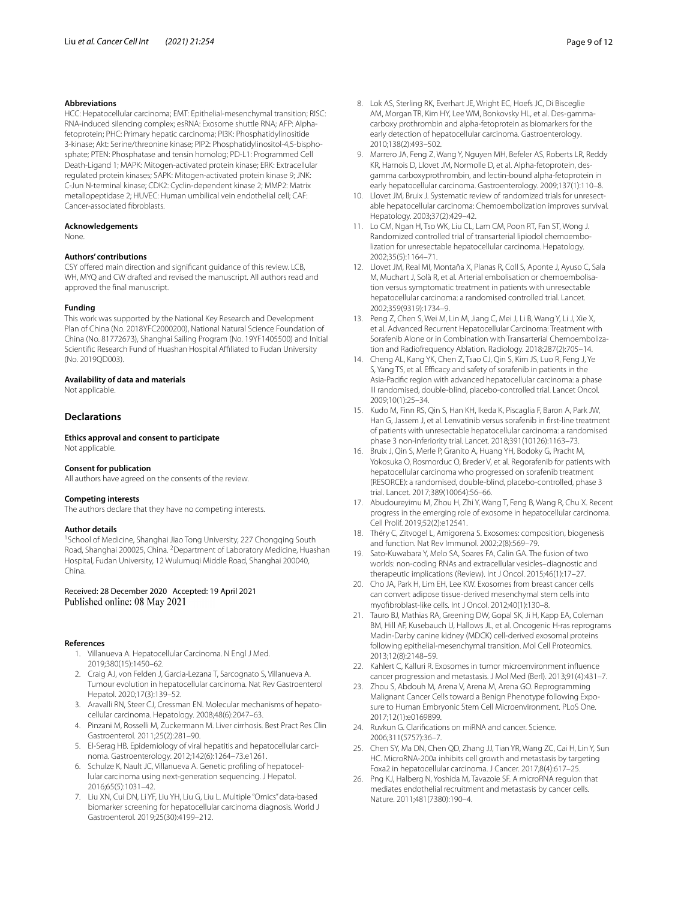### **Abbreviations**

HCC: Hepatocellular carcinoma; EMT: Epithelial-mesenchymal transition; RISC: RNA-induced silencing complex; esRNA: Exosome shuttle RNA; AFP: Alphafetoprotein; PHC: Primary hepatic carcinoma; PI3K: Phosphatidylinositide 3-kinase; Akt: Serine/threonine kinase; PIP2: Phosphatidylinositol-4,5-bisphosphate; PTEN: Phosphatase and tensin homolog; PD-L1: Programmed Cell Death-Ligand 1; MAPK: Mitogen-activated protein kinase; ERK: Extracellular regulated protein kinases; SAPK: Mitogen-activated protein kinase 9; JNK: C-Jun N-terminal kinase; CDK2: Cyclin-dependent kinase 2; MMP2: Matrix metallopeptidase 2; HUVEC: Human umbilical vein endothelial cell; CAF: Cancer-associated fbroblasts.

### **Acknowledgements**

None.

### **Authors' contributions**

CSY offered main direction and significant guidance of this review. LCB, WH, MYQ and CW drafted and revised the manuscript. All authors read and approved the fnal manuscript.

### **Funding**

This work was supported by the National Key Research and Development Plan of China (No. 2018YFC2000200), National Natural Science Foundation of China (No. 81772673), Shanghai Sailing Program (No. 19YF1405500) and Initial Scientifc Research Fund of Huashan Hospital Afliated to Fudan University (No. 2019QD003).

### **Availability of data and materials**

Not applicable.

## **Declarations**

**Ethics approval and consent to participate** Not applicable.

#### **Consent for publication**

All authors have agreed on the consents of the review.

#### **Competing interests**

The authors declare that they have no competing interests.

### **Author details**

<sup>1</sup> School of Medicine, Shanghai Jiao Tong University, 227 Chongqing South Road, Shanghai 200025, China. <sup>2</sup> Department of Laboratory Medicine, Huashan Hospital, Fudan University, 12 Wulumuqi Middle Road, Shanghai 200040, China.

Received: 28 December 2020 Accepted: 19 April 2021 Published online: 08 May 2021

### <span id="page-8-0"></span>**References**

- 1. Villanueva A. Hepatocellular Carcinoma. N Engl J Med. 2019;380(15):1450–62.
- <span id="page-8-1"></span>2. Craig AJ, von Felden J, Garcia-Lezana T, Sarcognato S, Villanueva A. Tumour evolution in hepatocellular carcinoma. Nat Rev Gastroenterol Hepatol. 2020;17(3):139–52.
- <span id="page-8-2"></span>3. Aravalli RN, Steer CJ, Cressman EN. Molecular mechanisms of hepatocellular carcinoma. Hepatology. 2008;48(6):2047–63.
- <span id="page-8-3"></span>4. Pinzani M, Rosselli M, Zuckermann M. Liver cirrhosis. Best Pract Res Clin Gastroenterol. 2011;25(2):281–90.
- <span id="page-8-4"></span>5. El-Serag HB. Epidemiology of viral hepatitis and hepatocellular carcinoma. Gastroenterology. 2012;142(6):1264–73.e1261.
- <span id="page-8-5"></span>6. Schulze K, Nault JC, Villanueva A. Genetic profling of hepatocellular carcinoma using next-generation sequencing. J Hepatol. 2016;65(5):1031–42.
- <span id="page-8-6"></span>7. Liu XN, Cui DN, Li YF, Liu YH, Liu G, Liu L. Multiple "Omics" data-based biomarker screening for hepatocellular carcinoma diagnosis. World J Gastroenterol. 2019;25(30):4199–212.
- <span id="page-8-7"></span>8. Lok AS, Sterling RK, Everhart JE, Wright EC, Hoefs JC, Di Bisceglie AM, Morgan TR, Kim HY, Lee WM, Bonkovsky HL, et al. Des-gammacarboxy prothrombin and alpha-fetoprotein as biomarkers for the early detection of hepatocellular carcinoma. Gastroenterology. 2010;138(2):493–502.
- <span id="page-8-8"></span>9. Marrero JA, Feng Z, Wang Y, Nguyen MH, Befeler AS, Roberts LR, Reddy KR, Harnois D, Llovet JM, Normolle D, et al. Alpha-fetoprotein, desgamma carboxyprothrombin, and lectin-bound alpha-fetoprotein in early hepatocellular carcinoma. Gastroenterology. 2009;137(1):110–8.
- <span id="page-8-9"></span>10. Llovet JM, Bruix J. Systematic review of randomized trials for unresectable hepatocellular carcinoma: Chemoembolization improves survival. Hepatology. 2003;37(2):429–42.
- 11. Lo CM, Ngan H, Tso WK, Liu CL, Lam CM, Poon RT, Fan ST, Wong J. Randomized controlled trial of transarterial lipiodol chemoembolization for unresectable hepatocellular carcinoma. Hepatology. 2002;35(5):1164–71.
- <span id="page-8-10"></span>12. Llovet JM, Real MI, Montaña X, Planas R, Coll S, Aponte J, Ayuso C, Sala M, Muchart J, Solà R, et al. Arterial embolisation or chemoembolisation versus symptomatic treatment in patients with unresectable hepatocellular carcinoma: a randomised controlled trial. Lancet. 2002;359(9319):1734–9.
- <span id="page-8-11"></span>13. Peng Z, Chen S, Wei M, Lin M, Jiang C, Mei J, Li B, Wang Y, Li J, Xie X, et al. Advanced Recurrent Hepatocellular Carcinoma: Treatment with Sorafenib Alone or in Combination with Transarterial Chemoembolization and Radiofrequency Ablation. Radiology. 2018;287(2):705–14.
- <span id="page-8-12"></span>14. Cheng AL, Kang YK, Chen Z, Tsao CJ, Qin S, Kim JS, Luo R, Feng J, Ye S, Yang TS, et al. Efficacy and safety of sorafenib in patients in the Asia-Pacifc region with advanced hepatocellular carcinoma: a phase III randomised, double-blind, placebo-controlled trial. Lancet Oncol. 2009;10(1):25–34.
- <span id="page-8-13"></span>15. Kudo M, Finn RS, Qin S, Han KH, Ikeda K, Piscaglia F, Baron A, Park JW, Han G, Jassem J, et al. Lenvatinib versus sorafenib in frst-line treatment of patients with unresectable hepatocellular carcinoma: a randomised phase 3 non-inferiority trial. Lancet. 2018;391(10126):1163–73.
- <span id="page-8-14"></span>16. Bruix J, Qin S, Merle P, Granito A, Huang YH, Bodoky G, Pracht M, Yokosuka O, Rosmorduc O, Breder V, et al. Regorafenib for patients with hepatocellular carcinoma who progressed on sorafenib treatment (RESORCE): a randomised, double-blind, placebo-controlled, phase 3 trial. Lancet. 2017;389(10064):56–66.
- <span id="page-8-15"></span>17. Abudoureyimu M, Zhou H, Zhi Y, Wang T, Feng B, Wang R, Chu X. Recent progress in the emerging role of exosome in hepatocellular carcinoma. Cell Prolif. 2019;52(2):e12541.
- <span id="page-8-16"></span>Théry C, Zitvogel L, Amigorena S. Exosomes: composition, biogenesis and function. Nat Rev Immunol. 2002;2(8):569–79.
- <span id="page-8-17"></span>19. Sato-Kuwabara Y, Melo SA, Soares FA, Calin GA. The fusion of two worlds: non-coding RNAs and extracellular vesicles–diagnostic and therapeutic implications (Review). Int J Oncol. 2015;46(1):17–27.
- <span id="page-8-18"></span>20. Cho JA, Park H, Lim EH, Lee KW. Exosomes from breast cancer cells can convert adipose tissue-derived mesenchymal stem cells into myofbroblast-like cells. Int J Oncol. 2012;40(1):130–8.
- <span id="page-8-19"></span>21. Tauro BJ, Mathias RA, Greening DW, Gopal SK, Ji H, Kapp EA, Coleman BM, Hill AF, Kusebauch U, Hallows JL, et al. Oncogenic H-ras reprograms Madin-Darby canine kidney (MDCK) cell-derived exosomal proteins following epithelial-mesenchymal transition. Mol Cell Proteomics. 2013;12(8):2148–59.
- <span id="page-8-20"></span>22. Kahlert C, Kalluri R. Exosomes in tumor microenvironment infuence cancer progression and metastasis. J Mol Med (Berl). 2013;91(4):431–7.
- <span id="page-8-21"></span>23. Zhou S, Abdouh M, Arena V, Arena M, Arena GO. Reprogramming Malignant Cancer Cells toward a Benign Phenotype following Exposure to Human Embryonic Stem Cell Microenvironment. PLoS One. 2017;12(1):e0169899.
- <span id="page-8-22"></span>24. Ruvkun G. Clarifcations on miRNA and cancer. Science. 2006;311(5757):36–7.
- <span id="page-8-23"></span>25. Chen SY, Ma DN, Chen QD, Zhang JJ, Tian YR, Wang ZC, Cai H, Lin Y, Sun HC. MicroRNA-200a inhibits cell growth and metastasis by targeting Foxa2 in hepatocellular carcinoma. J Cancer. 2017;8(4):617–25.
- <span id="page-8-24"></span>26. Png KJ, Halberg N, Yoshida M, Tavazoie SF. A microRNA regulon that mediates endothelial recruitment and metastasis by cancer cells. Nature. 2011;481(7380):190–4.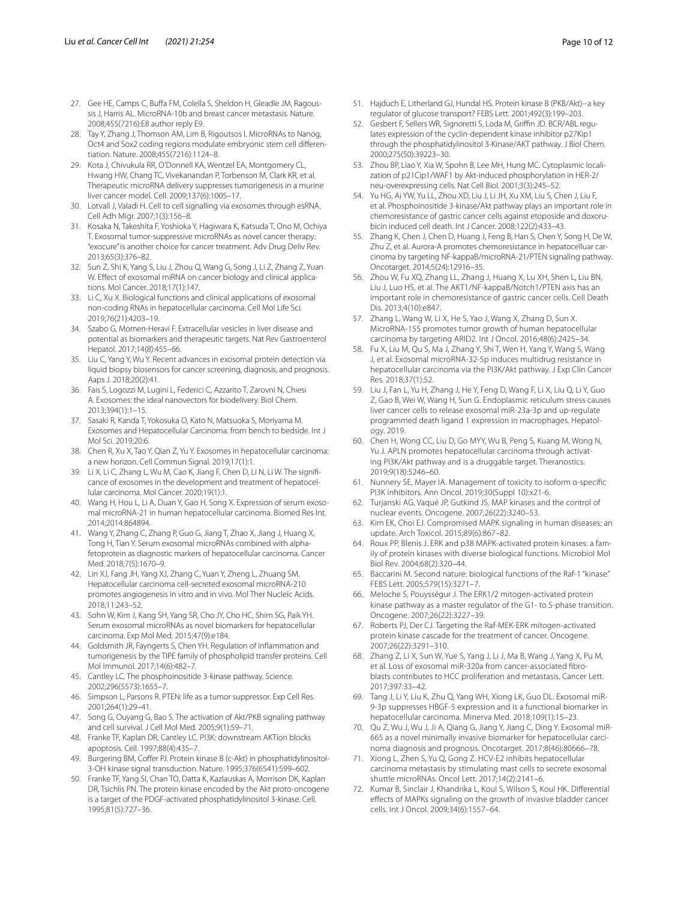- 27. Gee HE, Camps C, Buffa FM, Colella S, Sheldon H, Gleadle JM, Ragoussis J, Harris AL. MicroRNA-10b and breast cancer metastasis. Nature. 2008;455(7216):E8 author reply E9.
- 28. Tay Y, Zhang J, Thomson AM, Lim B, Rigoutsos I. MicroRNAs to Nanog, Oct4 and Sox2 coding regions modulate embryonic stem cell diferentiation. Nature. 2008;455(7216):1124–8.
- <span id="page-9-0"></span>29. Kota J, Chivukula RR, O'Donnell KA, Wentzel EA, Montgomery CL, Hwang HW, Chang TC, Vivekanandan P, Torbenson M, Clark KR, et al. Therapeutic microRNA delivery suppresses tumorigenesis in a murine liver cancer model. Cell. 2009;137(6):1005–17.
- <span id="page-9-1"></span>30. Lotvall J, Valadi H. Cell to cell signalling via exosomes through esRNA. Cell Adh Migr. 2007;1(3):156–8.
- <span id="page-9-2"></span>31. Kosaka N, Takeshita F, Yoshioka Y, Hagiwara K, Katsuda T, Ono M, Ochiya T. Exosomal tumor-suppressive microRNAs as novel cancer therapy: "exocure" is another choice for cancer treatment. Adv Drug Deliv Rev. 2013;65(3):376–82.
- <span id="page-9-3"></span>32. Sun Z, Shi K, Yang S, Liu J, Zhou Q, Wang G, Song J, Li Z, Zhang Z, Yuan W. Efect of exosomal miRNA on cancer biology and clinical applications. Mol Cancer. 2018;17(1):147.
- <span id="page-9-4"></span>33. Li C, Xu X. Biological functions and clinical applications of exosomal non-coding RNAs in hepatocellular carcinoma. Cell Mol Life Sci. 2019;76(21):4203–19.
- <span id="page-9-5"></span>34. Szabo G, Momen-Heravi F. Extracellular vesicles in liver disease and potential as biomarkers and therapeutic targets. Nat Rev Gastroenterol Hepatol. 2017;14(8):455–66.
- <span id="page-9-6"></span>35. Liu C, Yang Y, Wu Y. Recent advances in exosomal protein detection via liquid biopsy biosensors for cancer screening, diagnosis, and prognosis. Aaps J. 2018;20(2):41.
- <span id="page-9-7"></span>36. Fais S, Logozzi M, Lugini L, Federici C, Azzarito T, Zarovni N, Chiesi A. Exosomes: the ideal nanovectors for biodelivery. Biol Chem. 2013;394(1):1–15.
- <span id="page-9-8"></span>37. Sasaki R, Kanda T, Yokosuka O, Kato N, Matsuoka S, Moriyama M. Exosomes and Hepatocellular Carcinoma: from bench to bedside. Int J Mol Sci. 2019;20:6.
- 38. Chen R, Xu X, Tao Y, Qian Z, Yu Y. Exosomes in hepatocellular carcinoma: a new horizon. Cell Commun Signal. 2019;17(1):1.
- <span id="page-9-9"></span>39. Li X, Li C, Zhang L, Wu M, Cao K, Jiang F, Chen D, Li N, Li W. The signifcance of exosomes in the development and treatment of hepatocellular carcinoma. Mol Cancer. 2020;19(1):1.
- <span id="page-9-10"></span>40. Wang H, Hou L, Li A, Duan Y, Gao H, Song X. Expression of serum exosomal microRNA-21 in human hepatocellular carcinoma. Biomed Res Int. 2014;2014:864894.
- <span id="page-9-11"></span>41. Wang Y, Zhang C, Zhang P, Guo G, Jiang T, Zhao X, Jiang J, Huang X, Tong H, Tian Y. Serum exosomal microRNAs combined with alphafetoprotein as diagnostic markers of hepatocellular carcinoma. Cancer Med. 2018;7(5):1670–9.
- <span id="page-9-12"></span>42. Lin XJ, Fang JH, Yang XJ, Zhang C, Yuan Y, Zheng L, Zhuang SM. Hepatocellular carcinoma cell-secreted exosomal microRNA-210 promotes angiogenesis in vitro and in vivo. Mol Ther Nucleic Acids. 2018;11:243–52.
- <span id="page-9-13"></span>43. Sohn W, Kim J, Kang SH, Yang SR, Cho JY, Cho HC, Shim SG, Paik YH. Serum exosomal microRNAs as novel biomarkers for hepatocellular carcinoma. Exp Mol Med. 2015;47(9):e184.
- <span id="page-9-14"></span>44. Goldsmith JR, Fayngerts S, Chen YH. Regulation of infammation and tumorigenesis by the TIPE family of phospholipid transfer proteins. Cell Mol Immunol. 2017;14(6):482–7.
- <span id="page-9-15"></span>45. Cantley LC. The phosphoinositide 3-kinase pathway. Science. 2002;296(5573):1655–7.
- <span id="page-9-16"></span>46. Simpson L, Parsons R. PTEN: life as a tumor suppressor. Exp Cell Res. 2001;264(1):29–41.
- <span id="page-9-17"></span>47. Song G, Ouyang G, Bao S. The activation of Akt/PKB signaling pathway and cell survival. J Cell Mol Med. 2005;9(1):59–71.
- <span id="page-9-18"></span>48. Franke TF, Kaplan DR, Cantley LC. PI3K: downstream AKTion blocks apoptosis. Cell. 1997;88(4):435–7.
- 49. Burgering BM, Coffer PJ. Protein kinase B (c-Akt) in phosphatidylinositol-3-OH kinase signal transduction. Nature. 1995;376(6541):599–602.
- <span id="page-9-19"></span>Franke TF, Yang SI, Chan TO, Datta K, Kazlauskas A, Morrison DK, Kaplan DR, Tsichlis PN. The protein kinase encoded by the Akt proto-oncogene is a target of the PDGF-activated phosphatidylinositol 3-kinase. Cell. 1995;81(5):727–36.
- <span id="page-9-21"></span><span id="page-9-20"></span>52. Gesbert F, Sellers WR, Signoretti S, Loda M, Griffin JD. BCR/ABL regulates expression of the cyclin-dependent kinase inhibitor p27Kip1 through the phosphatidylinositol 3-Kinase/AKT pathway. J Biol Chem. 2000;275(50):39223–30.
- <span id="page-9-22"></span>53. Zhou BP, Liao Y, Xia W, Spohn B, Lee MH, Hung MC. Cytoplasmic localization of p21Cip1/WAF1 by Akt-induced phosphorylation in HER-2/ neu-overexpressing cells. Nat Cell Biol. 2001;3(3):245–52.
- <span id="page-9-23"></span>54. Yu HG, Ai YW, Yu LL, Zhou XD, Liu J, Li JH, Xu XM, Liu S, Chen J, Liu F, et al. Phosphoinositide 3-kinase/Akt pathway plays an important role in chemoresistance of gastric cancer cells against etoposide and doxorubicin induced cell death. Int J Cancer. 2008;122(2):433–43.
- <span id="page-9-24"></span>55. Zhang K, Chen J, Chen D, Huang J, Feng B, Han S, Chen Y, Song H, De W, Zhu Z, et al. Aurora-A promotes chemoresistance in hepatocelluar carcinoma by targeting NF-kappaB/microRNA-21/PTEN signaling pathway. Oncotarget. 2014;5(24):12916–35.
- <span id="page-9-25"></span>56. Zhou W, Fu XQ, Zhang LL, Zhang J, Huang X, Lu XH, Shen L, Liu BN, Liu J, Luo HS, et al. The AKT1/NF-kappaB/Notch1/PTEN axis has an important role in chemoresistance of gastric cancer cells. Cell Death Dis. 2013;4(10):e847.
- <span id="page-9-26"></span>57. Zhang L, Wang W, Li X, He S, Yao J, Wang X, Zhang D, Sun X. MicroRNA-155 promotes tumor growth of human hepatocellular carcinoma by targeting ARID2. Int J Oncol. 2016;48(6):2425–34.
- <span id="page-9-27"></span>58. Fu X, Liu M, Qu S, Ma J, Zhang Y, Shi T, Wen H, Yang Y, Wang S, Wang J, et al. Exosomal microRNA-32-5p induces multidrug resistance in hepatocellular carcinoma via the PI3K/Akt pathway. J Exp Clin Cancer Res. 2018;37(1):52.
- <span id="page-9-28"></span>59. Liu J, Fan L, Yu H, Zhang J, He Y, Feng D, Wang F, Li X, Liu Q, Li Y, Guo Z, Gao B, Wei W, Wang H, Sun G. Endoplasmic reticulum stress causes liver cancer cells to release exosomal miR-23a-3p and up-regulate programmed death ligand 1 expression in macrophages. Hepatology. 2019.
- <span id="page-9-29"></span>60. Chen H, Wong CC, Liu D, Go MYY, Wu B, Peng S, Kuang M, Wong N, Yu J. APLN promotes hepatocellular carcinoma through activating PI3K/Akt pathway and is a druggable target. Theranostics. 2019;9(18):5246–60.
- <span id="page-9-30"></span>61. Nunnery SE, Mayer IA. Management of toxicity to isoform α-specifc PI3K inhibitors. Ann Oncol. 2019;30(Suppl 10):x21-6.
- <span id="page-9-31"></span>62. Turjanski AG, Vaqué JP, Gutkind JS. MAP kinases and the control of nuclear events. Oncogene. 2007;26(22):3240–53.
- <span id="page-9-32"></span>63. Kim EK, Choi EJ. Compromised MAPK signaling in human diseases: an update. Arch Toxicol. 2015;89(6):867–82.
- <span id="page-9-33"></span>64. Roux PP, Blenis J. ERK and p38 MAPK-activated protein kinases: a family of protein kinases with diverse biological functions. Microbiol Mol Biol Rev. 2004;68(2):320–44.
- 65. Baccarini M. Second nature: biological functions of the Raf-1 "kinase." FEBS Lett. 2005;579(15):3271–7.
- <span id="page-9-34"></span>66. Meloche S, Pouysségur J. The ERK1/2 mitogen-activated protein kinase pathway as a master regulator of the G1- to S-phase transition. Oncogene. 2007;26(22):3227–39.
- <span id="page-9-35"></span>67. Roberts PJ, Der CJ. Targeting the Raf-MEK-ERK mitogen-activated protein kinase cascade for the treatment of cancer. Oncogene. 2007;26(22):3291–310.
- <span id="page-9-36"></span>68. Zhang Z, Li X, Sun W, Yue S, Yang J, Li J, Ma B, Wang J, Yang X, Pu M, et al. Loss of exosomal miR-320a from cancer-associated fbroblasts contributes to HCC proliferation and metastasis. Cancer Lett. 2017;397:33–42.
- <span id="page-9-37"></span>69. Tang J, Li Y, Liu K, Zhu Q, Yang WH, Xiong LK, Guo DL. Exosomal miR-9-3p suppresses HBGF-5 expression and is a functional biomarker in hepatocellular carcinoma. Minerva Med. 2018;109(1):15–23.
- <span id="page-9-38"></span>70. Qu Z, Wu J, Wu J, Ji A, Qiang G, Jiang Y, Jiang C, Ding Y. Exosomal miR-665 as a novel minimally invasive biomarker for hepatocellular carcinoma diagnosis and prognosis. Oncotarget. 2017;8(46):80666–78.
- <span id="page-9-39"></span>71. Xiong L, Zhen S, Yu Q, Gong Z. HCV-E2 inhibits hepatocellular carcinoma metastasis by stimulating mast cells to secrete exosomal shuttle microRNAs. Oncol Lett. 2017;14(2):2141–6.
- <span id="page-9-40"></span>72. Kumar B, Sinclair J, Khandrika L, Koul S, Wilson S, Koul HK. Diferential efects of MAPKs signaling on the growth of invasive bladder cancer cells. Int J Oncol. 2009;34(6):1557–64.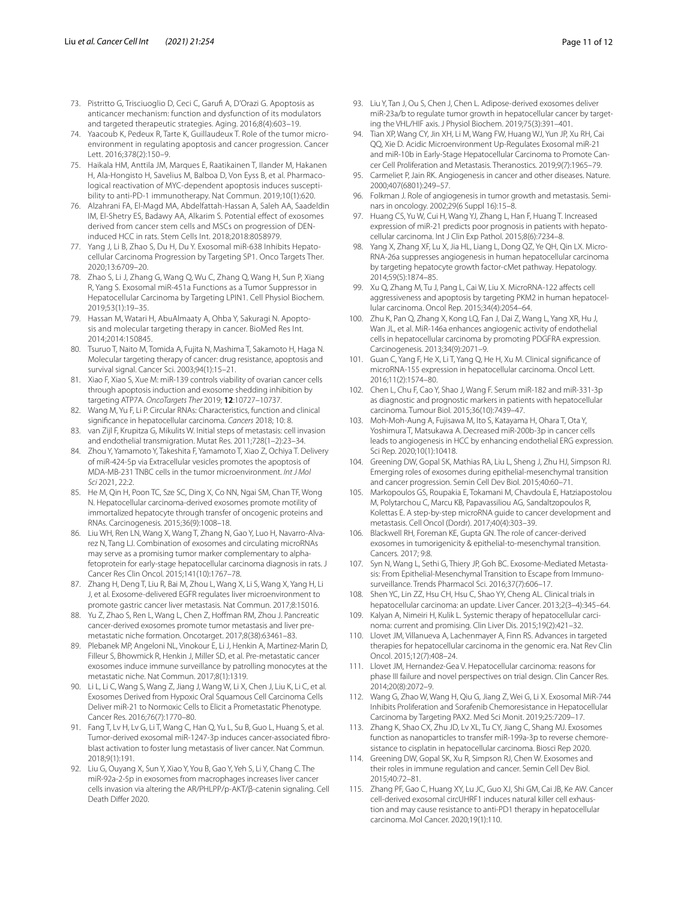- <span id="page-10-0"></span>73. Pistritto G, Trisciuoglio D, Ceci C, Garuf A, D'Orazi G. Apoptosis as anticancer mechanism: function and dysfunction of its modulators and targeted therapeutic strategies. Aging. 2016;8(4):603–19.
- <span id="page-10-1"></span>74. Yaacoub K, Pedeux R, Tarte K, Guillaudeux T. Role of the tumor microenvironment in regulating apoptosis and cancer progression. Cancer Lett. 2016;378(2):150–9.
- <span id="page-10-2"></span>75. Haikala HM, Anttila JM, Marques E, Raatikainen T, Ilander M, Hakanen H, Ala-Hongisto H, Savelius M, Balboa D, Von Eyss B, et al. Pharmacological reactivation of MYC-dependent apoptosis induces susceptibility to anti-PD-1 immunotherapy. Nat Commun. 2019;10(1):620.
- <span id="page-10-3"></span>76. Alzahrani FA, El-Magd MA, Abdelfattah-Hassan A, Saleh AA, Saadeldin IM, El-Shetry ES, Badawy AA, Alkarim S. Potential effect of exosomes derived from cancer stem cells and MSCs on progression of DENinduced HCC in rats. Stem Cells Int. 2018;2018:8058979.
- <span id="page-10-4"></span>77. Yang J, Li B, Zhao S, Du H, Du Y. Exosomal miR-638 Inhibits Hepatocellular Carcinoma Progression by Targeting SP1. Onco Targets Ther. 2020;13:6709–20.
- <span id="page-10-5"></span>78. Zhao S, Li J, Zhang G, Wang Q, Wu C, Zhang Q, Wang H, Sun P, Xiang R, Yang S. Exosomal miR-451a Functions as a Tumor Suppressor in Hepatocellular Carcinoma by Targeting LPIN1. Cell Physiol Biochem. 2019;53(1):19–35.
- <span id="page-10-6"></span>79. Hassan M, Watari H, AbuAlmaaty A, Ohba Y, Sakuragi N. Apoptosis and molecular targeting therapy in cancer. BioMed Res Int. 2014;2014:150845.
- <span id="page-10-7"></span>80. Tsuruo T, Naito M, Tomida A, Fujita N, Mashima T, Sakamoto H, Haga N. Molecular targeting therapy of cancer: drug resistance, apoptosis and survival signal. Cancer Sci. 2003;94(1):15–21.
- <span id="page-10-8"></span>81. Xiao F, Xiao S, Xue M: miR-139 controls viability of ovarian cancer cells through apoptosis induction and exosome shedding inhibition by targeting ATP7A. *OncoTargets Ther* 2019; **12**:10727–10737.
- <span id="page-10-9"></span>Wang M, Yu F, Li P. Circular RNAs: Characteristics, function and clinical signifcance in hepatocellular carcinoma. *Cancers* 2018; 10: 8.
- <span id="page-10-10"></span>83. van Zijl F, Krupitza G, Mikulits W. Initial steps of metastasis: cell invasion and endothelial transmigration. Mutat Res. 2011;728(1–2):23–34.
- <span id="page-10-11"></span>84. Zhou Y, Yamamoto Y, Takeshita F, Yamamoto T, Xiao Z, Ochiya T. Delivery of miR-424-5p via Extracellular vesicles promotes the apoptosis of MDA-MB-231 TNBC cells in the tumor microenvironment. *Int J Mol Sci* 2021, 22:2.
- <span id="page-10-12"></span>85. He M, Qin H, Poon TC, Sze SC, Ding X, Co NN, Ngai SM, Chan TF, Wong N. Hepatocellular carcinoma-derived exosomes promote motility of immortalized hepatocyte through transfer of oncogenic proteins and RNAs. Carcinogenesis. 2015;36(9):1008–18.
- 86. Liu WH, Ren LN, Wang X, Wang T, Zhang N, Gao Y, Luo H, Navarro-Alvarez N, Tang LJ. Combination of exosomes and circulating microRNAs may serve as a promising tumor marker complementary to alphafetoprotein for early-stage hepatocellular carcinoma diagnosis in rats. J Cancer Res Clin Oncol. 2015;141(10):1767–78.
- 87. Zhang H, Deng T, Liu R, Bai M, Zhou L, Wang X, Li S, Wang X, Yang H, Li J, et al. Exosome-delivered EGFR regulates liver microenvironment to promote gastric cancer liver metastasis. Nat Commun. 2017;8:15016.
- 88. Yu Z, Zhao S, Ren L, Wang L, Chen Z, Hofman RM, Zhou J. Pancreatic cancer-derived exosomes promote tumor metastasis and liver premetastatic niche formation. Oncotarget. 2017;8(38):63461–83.
- 89. Plebanek MP, Angeloni NL, Vinokour E, Li J, Henkin A, Martinez-Marin D, Filleur S, Bhowmick R, Henkin J, Miller SD, et al. Pre-metastatic cancer exosomes induce immune surveillance by patrolling monocytes at the metastatic niche. Nat Commun. 2017;8(1):1319.
- <span id="page-10-13"></span>90. Li L, Li C, Wang S, Wang Z, Jiang J, Wang W, Li X, Chen J, Liu K, Li C, et al. Exosomes Derived from Hypoxic Oral Squamous Cell Carcinoma Cells Deliver miR-21 to Normoxic Cells to Elicit a Prometastatic Phenotype. Cancer Res. 2016;76(7):1770–80.
- <span id="page-10-14"></span>91. Fang T, Lv H, Lv G, Li T, Wang C, Han Q, Yu L, Su B, Guo L, Huang S, et al. Tumor-derived exosomal miR-1247-3p induces cancer-associated fbroblast activation to foster lung metastasis of liver cancer. Nat Commun. 2018;9(1):191.
- <span id="page-10-15"></span>92. Liu G, Ouyang X, Sun Y, Xiao Y, You B, Gao Y, Yeh S, Li Y, Chang C. The miR-92a-2-5p in exosomes from macrophages increases liver cancer cells invasion via altering the AR/PHLPP/p-AKT/β-catenin signaling. Cell Death Differ 2020.
- <span id="page-10-16"></span>93. Liu Y, Tan J, Ou S, Chen J, Chen L. Adipose-derived exosomes deliver miR-23a/b to regulate tumor growth in hepatocellular cancer by targeting the VHL/HIF axis. J Physiol Biochem. 2019;75(3):391–401.
- <span id="page-10-17"></span>94. Tian XP, Wang CY, Jin XH, Li M, Wang FW, Huang WJ, Yun JP, Xu RH, Cai QQ, Xie D. Acidic Microenvironment Up-Regulates Exosomal miR-21 and miR-10b in Early-Stage Hepatocellular Carcinoma to Promote Cancer Cell Proliferation and Metastasis. Theranostics. 2019;9(7):1965–79.
- <span id="page-10-18"></span>95. Carmeliet P, Jain RK. Angiogenesis in cancer and other diseases. Nature. 2000;407(6801):249–57.
- <span id="page-10-19"></span>96. Folkman J. Role of angiogenesis in tumor growth and metastasis. Seminars in oncology. 2002;29(6 Suppl 16):15–8.
- <span id="page-10-20"></span>97. Huang CS, Yu W, Cui H, Wang YJ, Zhang L, Han F, Huang T. Increased expression of miR-21 predicts poor prognosis in patients with hepatocellular carcinoma. Int J Clin Exp Pathol. 2015;8(6):7234–8.
- 98. Yang X, Zhang XF, Lu X, Jia HL, Liang L, Dong QZ, Ye QH, Qin LX. Micro-RNA-26a suppresses angiogenesis in human hepatocellular carcinoma by targeting hepatocyte growth factor-cMet pathway. Hepatology. 2014;59(5):1874–85.
- 99. Xu Q, Zhang M, Tu J, Pang L, Cai W, Liu X. MicroRNA-122 affects cell aggressiveness and apoptosis by targeting PKM2 in human hepatocellular carcinoma. Oncol Rep. 2015;34(4):2054–64.
- 100. Zhu K, Pan Q, Zhang X, Kong LQ, Fan J, Dai Z, Wang L, Yang XR, Hu J, Wan JL, et al. MiR-146a enhances angiogenic activity of endothelial cells in hepatocellular carcinoma by promoting PDGFRA expression. Carcinogenesis. 2013;34(9):2071–9.
- 101. Guan C, Yang F, He X, Li T, Yang Q, He H, Xu M. Clinical signifcance of microRNA-155 expression in hepatocellular carcinoma. Oncol Lett. 2016;11(2):1574–80.
- <span id="page-10-21"></span>102. Chen L, Chu F, Cao Y, Shao J, Wang F. Serum miR-182 and miR-331-3p as diagnostic and prognostic markers in patients with hepatocellular carcinoma. Tumour Biol. 2015;36(10):7439–47.
- <span id="page-10-22"></span>103. Moh-Moh-Aung A, Fujisawa M, Ito S, Katayama H, Ohara T, Ota Y, Yoshimura T, Matsukawa A. Decreased miR-200b-3p in cancer cells leads to angiogenesis in HCC by enhancing endothelial ERG expression. Sci Rep. 2020;10(1):10418.
- <span id="page-10-23"></span>104. Greening DW, Gopal SK, Mathias RA, Liu L, Sheng J, Zhu HJ, Simpson RJ. Emerging roles of exosomes during epithelial-mesenchymal transition and cancer progression. Semin Cell Dev Biol. 2015;40:60–71.
- <span id="page-10-24"></span>105. Markopoulos GS, Roupakia E, Tokamani M, Chavdoula E, Hatziapostolou M, Polytarchou C, Marcu KB, Papavassiliou AG, Sandaltzopoulos R, Kolettas E. A step-by-step microRNA guide to cancer development and metastasis. Cell Oncol (Dordr). 2017;40(4):303–39.
- <span id="page-10-25"></span>106. Blackwell RH, Foreman KE, Gupta GN. The role of cancer-derived exosomes in tumorigenicity & epithelial-to-mesenchymal transition. Cancers*.* 2017; 9:8.
- <span id="page-10-26"></span>107. Syn N, Wang L, Sethi G, Thiery JP, Goh BC. Exosome-Mediated Metastasis: From Epithelial-Mesenchymal Transition to Escape from Immunosurveillance. Trends Pharmacol Sci. 2016;37(7):606–17.
- <span id="page-10-27"></span>108. Shen YC, Lin ZZ, Hsu CH, Hsu C, Shao YY, Cheng AL. Clinical trials in hepatocellular carcinoma: an update. Liver Cancer. 2013;2(3–4):345–64.
- 109. Kalyan A, Nimeiri H, Kulik L. Systemic therapy of hepatocellular carcinoma: current and promising. Clin Liver Dis. 2015;19(2):421–32.
- <span id="page-10-28"></span>110. Llovet JM, Villanueva A, Lachenmayer A, Finn RS. Advances in targeted therapies for hepatocellular carcinoma in the genomic era. Nat Rev Clin Oncol. 2015;12(7):408–24.
- <span id="page-10-29"></span>111. Llovet JM, Hernandez-Gea V. Hepatocellular carcinoma: reasons for phase III failure and novel perspectives on trial design. Clin Cancer Res. 2014;20(8):2072–9.
- <span id="page-10-30"></span>112. Wang G, Zhao W, Wang H, Qiu G, Jiang Z, Wei G, Li X. Exosomal MiR-744 Inhibits Proliferation and Sorafenib Chemoresistance in Hepatocellular Carcinoma by Targeting PAX2. Med Sci Monit. 2019;25:7209–17.
- <span id="page-10-31"></span>113. Zhang K, Shao CX, Zhu JD, Lv XL, Tu CY, Jiang C, Shang MJ. Exosomes function as nanoparticles to transfer miR-199a-3p to reverse chemoresistance to cisplatin in hepatocellular carcinoma. Biosci Rep 2020.
- <span id="page-10-32"></span>114. Greening DW, Gopal SK, Xu R, Simpson RJ, Chen W. Exosomes and their roles in immune regulation and cancer. Semin Cell Dev Biol. 2015;40:72–81.
- <span id="page-10-33"></span>115. Zhang PF, Gao C, Huang XY, Lu JC, Guo XJ, Shi GM, Cai JB, Ke AW. Cancer cell-derived exosomal circUHRF1 induces natural killer cell exhaustion and may cause resistance to anti-PD1 therapy in hepatocellular carcinoma. Mol Cancer. 2020;19(1):110.